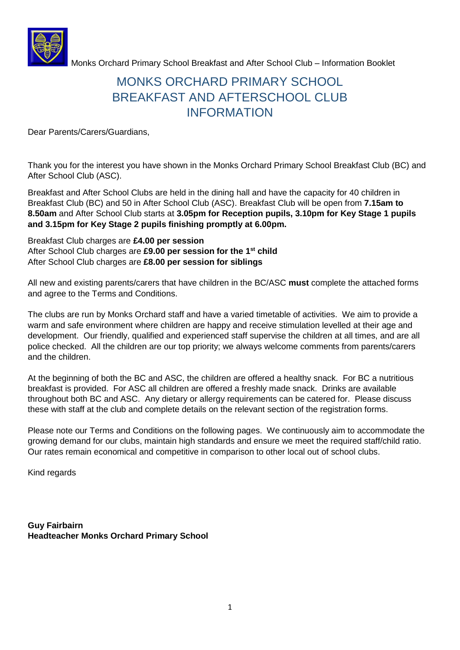

# MONKS ORCHARD PRIMARY SCHOOL BREAKFAST AND AFTERSCHOOL CLUB INFORMATION

Dear Parents/Carers/Guardians,

Thank you for the interest you have shown in the Monks Orchard Primary School Breakfast Club (BC) and After School Club (ASC).

Breakfast and After School Clubs are held in the dining hall and have the capacity for 40 children in Breakfast Club (BC) and 50 in After School Club (ASC). Breakfast Club will be open from **7.15am to 8.50am** and After School Club starts at **3.05pm for Reception pupils, 3.10pm for Key Stage 1 pupils and 3.15pm for Key Stage 2 pupils finishing promptly at 6.00pm.**

#### Breakfast Club charges are **£4.00 per session** After School Club charges are **£9.00 per session for the 1st child** After School Club charges are **£8.00 per session for siblings**

All new and existing parents/carers that have children in the BC/ASC **must** complete the attached forms and agree to the Terms and Conditions.

The clubs are run by Monks Orchard staff and have a varied timetable of activities. We aim to provide a warm and safe environment where children are happy and receive stimulation levelled at their age and development. Our friendly, qualified and experienced staff supervise the children at all times, and are all police checked. All the children are our top priority; we always welcome comments from parents/carers and the children.

At the beginning of both the BC and ASC, the children are offered a healthy snack. For BC a nutritious breakfast is provided. For ASC all children are offered a freshly made snack. Drinks are available throughout both BC and ASC. Any dietary or allergy requirements can be catered for. Please discuss these with staff at the club and complete details on the relevant section of the registration forms.

Please note our Terms and Conditions on the following pages. We continuously aim to accommodate the growing demand for our clubs, maintain high standards and ensure we meet the required staff/child ratio. Our rates remain economical and competitive in comparison to other local out of school clubs.

Kind regards

**Guy Fairbairn Headteacher Monks Orchard Primary School**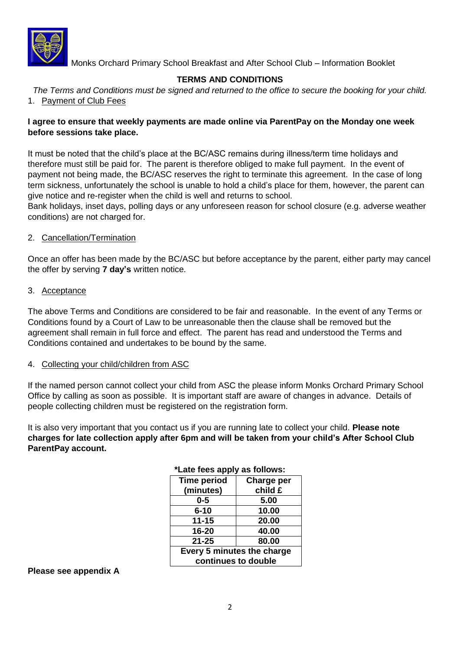

### **TERMS AND CONDITIONS**

*The Terms and Conditions must be signed and returned to the office to secure the booking for your child.* 1. Payment of Club Fees

#### **I agree to ensure that weekly payments are made online via ParentPay on the Monday one week before sessions take place.**

It must be noted that the child's place at the BC/ASC remains during illness/term time holidays and therefore must still be paid for. The parent is therefore obliged to make full payment. In the event of payment not being made, the BC/ASC reserves the right to terminate this agreement. In the case of long term sickness, unfortunately the school is unable to hold a child's place for them, however, the parent can give notice and re-register when the child is well and returns to school.

Bank holidays, inset days, polling days or any unforeseen reason for school closure (e.g. adverse weather conditions) are not charged for.

#### 2. Cancellation/Termination

Once an offer has been made by the BC/ASC but before acceptance by the parent, either party may cancel the offer by serving **7 day's** written notice.

#### 3. Acceptance

The above Terms and Conditions are considered to be fair and reasonable. In the event of any Terms or Conditions found by a Court of Law to be unreasonable then the clause shall be removed but the agreement shall remain in full force and effect. The parent has read and understood the Terms and Conditions contained and undertakes to be bound by the same.

#### 4. Collecting your child/children from ASC

If the named person cannot collect your child from ASC the please inform Monks Orchard Primary School Office by calling as soon as possible. It is important staff are aware of changes in advance. Details of people collecting children must be registered on the registration form.

It is also very important that you contact us if you are running late to collect your child. **Please note charges for late collection apply after 6pm and will be taken from your child's After School Club ParentPay account.**

| Late rees apply as reliews. |            |  |
|-----------------------------|------------|--|
| <b>Time period</b>          | Charge per |  |
| (minutes)                   | child £    |  |
| $0 - 5$                     | 5.00       |  |
| $6 - 10$                    | 10.00      |  |
| $11 - 15$                   | 20.00      |  |
| 16-20                       | 40.00      |  |
| $21 - 25$                   | 80.00      |  |
| Every 5 minutes the charge  |            |  |
| continues to double         |            |  |

#### **\*Late fees apply as follows:**

#### **Please see appendix A**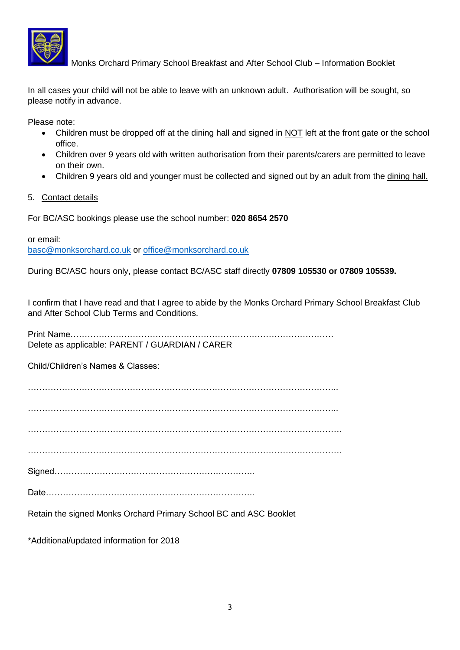

In all cases your child will not be able to leave with an unknown adult. Authorisation will be sought, so please notify in advance.

Please note:

- Children must be dropped off at the dining hall and signed in NOT left at the front gate or the school office.
- Children over 9 years old with written authorisation from their parents/carers are permitted to leave on their own.
- Children 9 years old and younger must be collected and signed out by an adult from the dining hall.
- 5. Contact details

For BC/ASC bookings please use the school number: **020 8654 2570**

or email: [basc@monksorchard.co.uk](mailto:basc@monksorchard.co.uk) or [office@monksorchard.co.uk](mailto:office@monksorchard.co.uk)

During BC/ASC hours only, please contact BC/ASC staff directly **07809 105530 or 07809 105539.**

I confirm that I have read and that I agree to abide by the Monks Orchard Primary School Breakfast Club and After School Club Terms and Conditions.

Print Name………………………………………………………………………………… Delete as applicable: PARENT / GUARDIAN / CARER

Child/Children's Names & Classes:

………………………………………………………………………………………………..

………………………………………………………………………………………………..

…………………………………………………………………………………………………

…………………………………………………………………………………………………

Signed……………………………………………………………..

Date………………………………………………………………..

Retain the signed Monks Orchard Primary School BC and ASC Booklet

\*Additional/updated information for 2018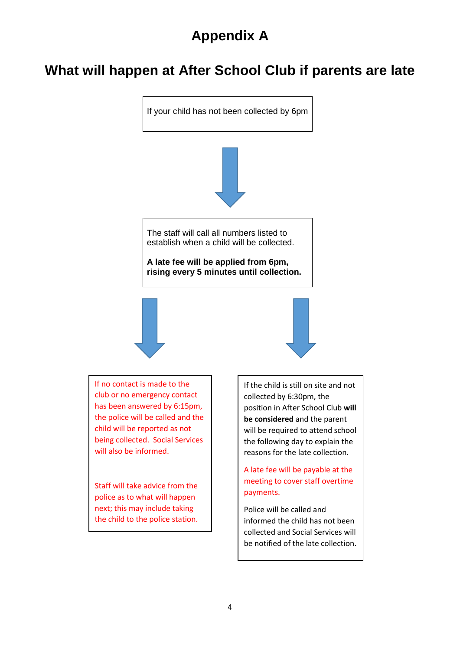# **Appendix A**

# **What will happen at After School Club if parents are late**

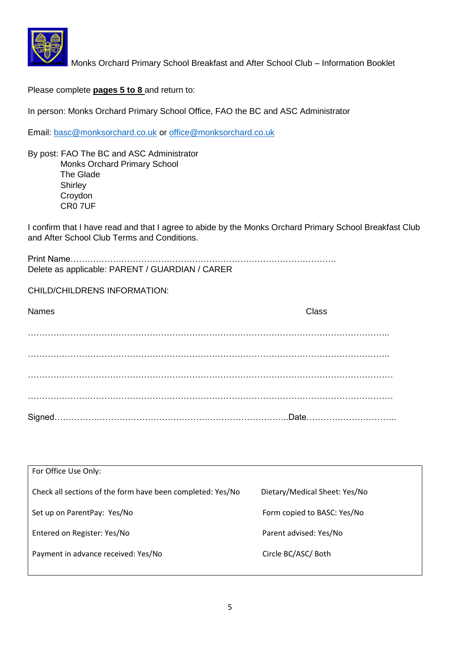

Please complete **pages 5 to 8** and return to:

In person: Monks Orchard Primary School Office, FAO the BC and ASC Administrator

Email: [basc@monksorchard.co.uk](mailto:basc@monksorchard.co.uk) or [office@monksorchard.co.uk](mailto:office@monksorchard.co.uk)

By post: FAO The BC and ASC Administrator Monks Orchard Primary School The Glade **Shirley**  Croydon CR0 7UF

I confirm that I have read and that I agree to abide by the Monks Orchard Primary School Breakfast Club and After School Club Terms and Conditions.

| Delete as applicable: PARENT / GUARDIAN / CARER |
|-------------------------------------------------|

CHILD/CHILDRENS INFORMATION:

| <b>Names</b> | Class |
|--------------|-------|
|              |       |
|              |       |
|              |       |
|              |       |
|              |       |
|              |       |
|              |       |

| For Office Use Only:                                       |                               |
|------------------------------------------------------------|-------------------------------|
| Check all sections of the form have been completed: Yes/No | Dietary/Medical Sheet: Yes/No |
| Set up on ParentPay: Yes/No                                | Form copied to BASC: Yes/No   |
| Entered on Register: Yes/No                                | Parent advised: Yes/No        |
| Payment in advance received: Yes/No                        | Circle BC/ASC/ Both           |
|                                                            |                               |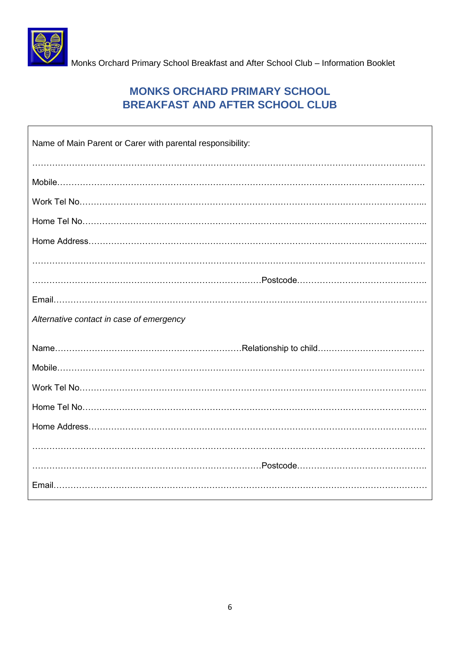

 $\Gamma$ 

Monks Orchard Primary School Breakfast and After School Club – Information Booklet

## **MONKS ORCHARD PRIMARY SCHOOL BREAKFAST AND AFTER SCHOOL CLUB**

| Name of Main Parent or Carer with parental responsibility: |
|------------------------------------------------------------|
|                                                            |
|                                                            |
|                                                            |
|                                                            |
|                                                            |
|                                                            |
|                                                            |
| Alternative contact in case of emergency                   |
|                                                            |
|                                                            |
|                                                            |
|                                                            |
|                                                            |
|                                                            |
|                                                            |
|                                                            |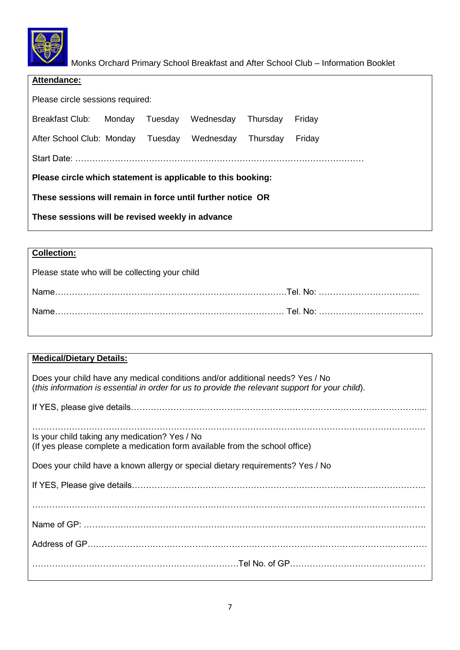

| Attendance:                                                  |                   |           |          |        |
|--------------------------------------------------------------|-------------------|-----------|----------|--------|
| Please circle sessions required:                             |                   |           |          |        |
| <b>Breakfast Club:</b>                                       | Monday<br>Tuesday | Wednesday | Thursday | Friday |
| After School Club: Monday                                    | Tuesday           | Wednesday | Thursday | Friday |
|                                                              |                   |           |          |        |
| Please circle which statement is applicable to this booking: |                   |           |          |        |
| These sessions will remain in force until further notice OR  |                   |           |          |        |
| These sessions will be revised weekly in advance             |                   |           |          |        |

## **Collection:**

Please state who will be collecting your child

| <b>Name</b> |  |
|-------------|--|
| <b>Name</b> |  |

| <b>Medical/Dietary Details:</b>                                                                                                                                                  |
|----------------------------------------------------------------------------------------------------------------------------------------------------------------------------------|
| Does your child have any medical conditions and/or additional needs? Yes / No<br>(this information is essential in order for us to provide the relevant support for your child). |
|                                                                                                                                                                                  |
| Is your child taking any medication? Yes / No<br>(If yes please complete a medication form available from the school office)                                                     |
| Does your child have a known allergy or special dietary requirements? Yes / No                                                                                                   |
|                                                                                                                                                                                  |
|                                                                                                                                                                                  |
|                                                                                                                                                                                  |
|                                                                                                                                                                                  |
|                                                                                                                                                                                  |